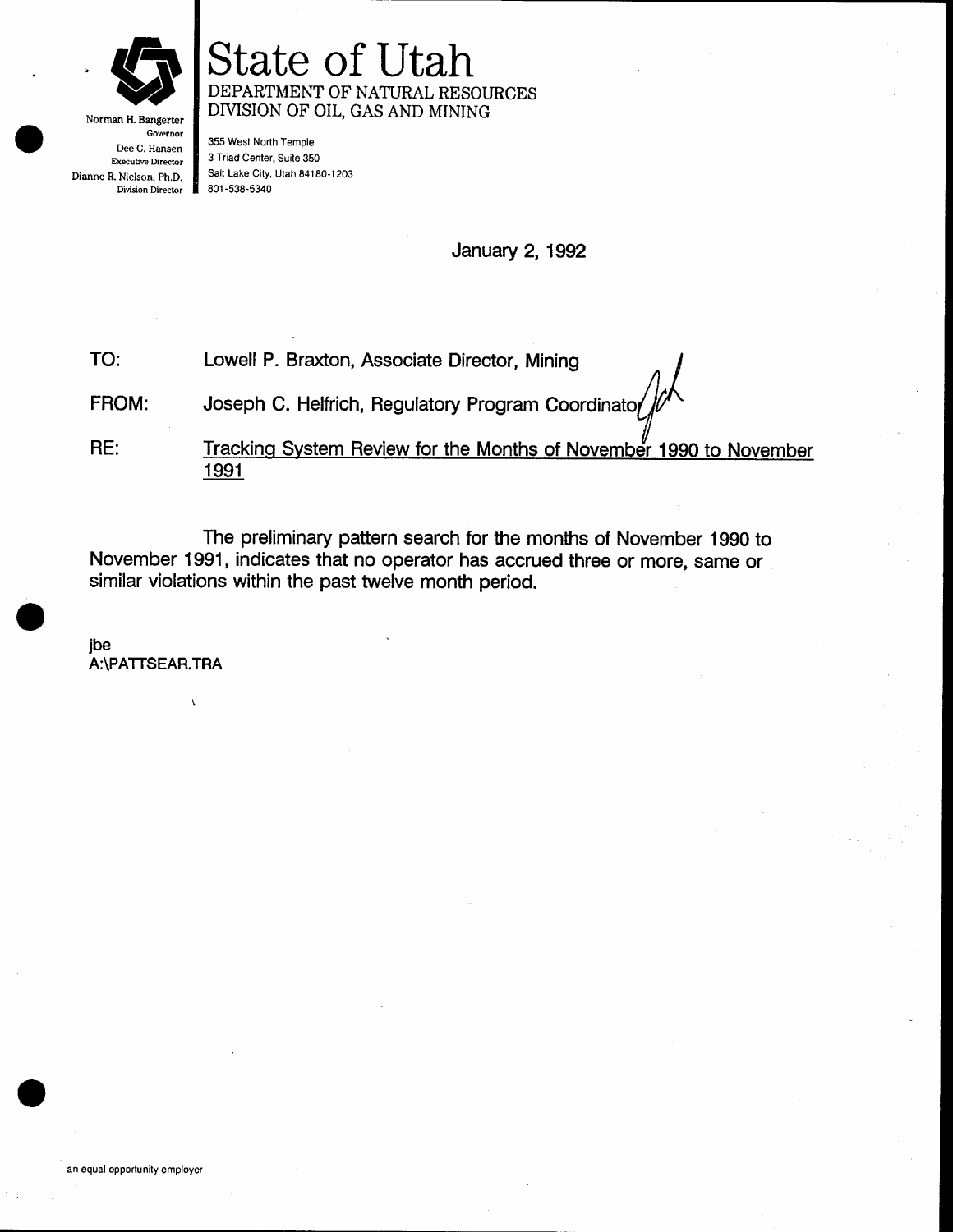

Norman H. Bangerter Governor Dee C. Hansen Executive Director Dianne R. Nielson, Ph.D. Division Director

### State of Utah DEPARTMENT OF NATURAL RESOURCES DIVISION OF OIL, GAS AND MINING

355 West North Temple 3 Triad Center, Suite 350 Salt Lake City, Utah 84180-1203 801 -538-5340

January 2,1992

TO: Lowell P. Braxton, Associate Director, Mining

FROM: Joseph C. Helfrich, Regulatory Program Coordinator

RE: <sup>1</sup>991 Tracking System Review for the Months of November 1990 to November

The preliminary pattern search for the months of November 1990 to November 1991 , indicates that no operator has accrued three or more, same or similar violations within the past twelve month period.

ibe A:\PATTSEAR.TRA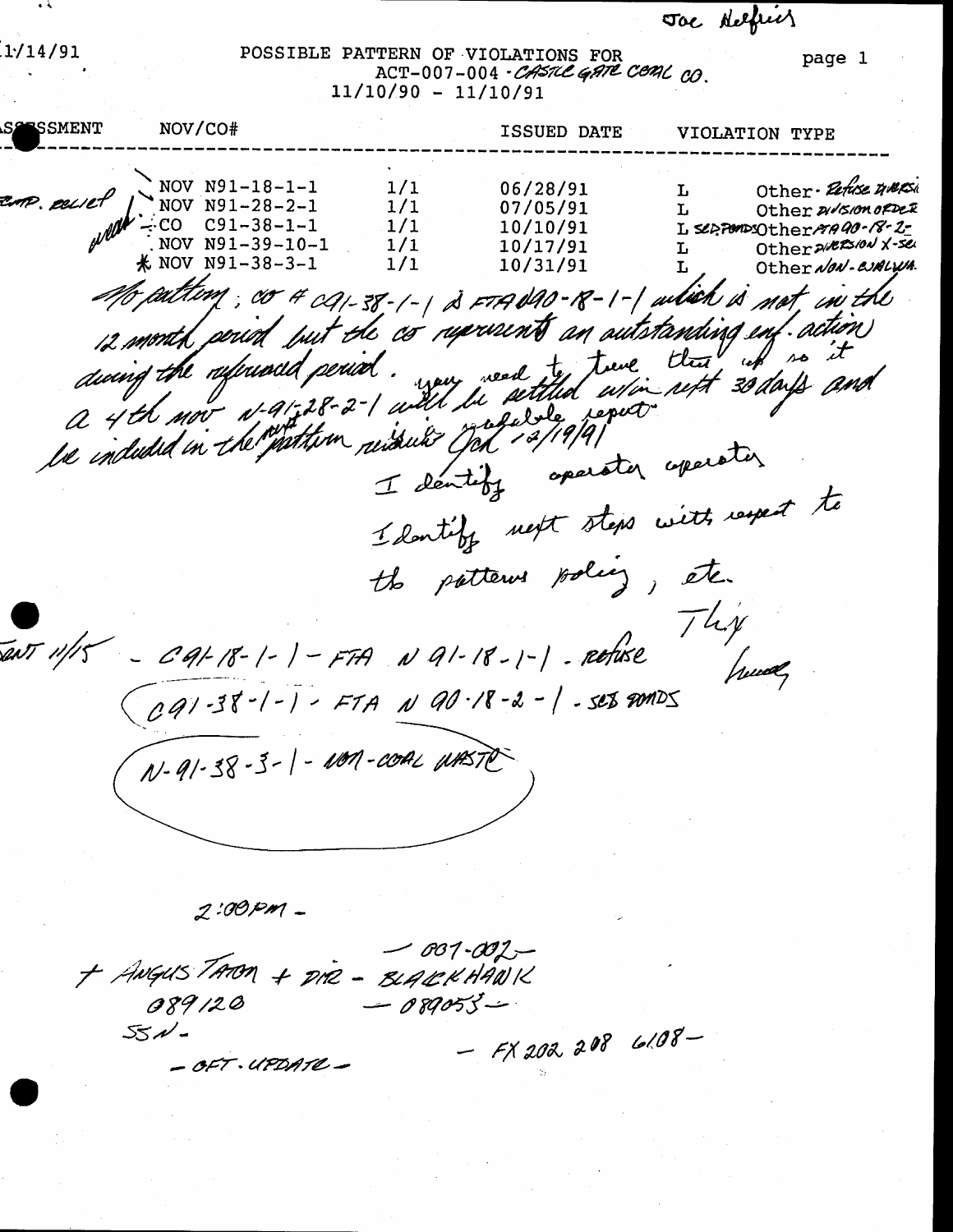Toe Nelfred

page 1

 $1/14/91$ 

POSSIBLE PATTERN OF VIOLATIONS FOR ACT-007-004 - CASTLE GATE CEAL CO.  $11/10/90 - 11/10/91$ 

**ESSMENT** NOV/CO# ISSUED DATE VIOLATION TYPE Other- Petuse maps NOV N91-18-1-1  $1/1$ 06/28/91 L TP. esciet NOV N91-28-2-1  $1/1$ 07/05/91 Other 21/5/00 OFDER T. of References  $CO$   $C91-38-1-1$  $1/1$ 10/10/91 L SOPPOMPSOther MAD0-18-2-NOV N91-39-10-1 Other 2/225/0N X-see  $1/1$ 10/17/91 L **米 NOV N91-38-3-1** Other NON-CUALWA  $1/1$ 10/31/91 M aiting; co 4 ca-38-1-1 à =14 040-18-1-1 aitien à not, in the 12 month period but the co represents an autotanding enf. action during the referred period. we were an autotanding end action be inducted in the pathom resolution of 19/9/9/ I dentify operator operator I don't by next steps with respect to the patterns policy, etc. They CAL18-1-1-FTA NA1-18-1-1-Refuse PATT 11/15 CQ1-38-1-1-FTA N Q0-18-2-1-SE8 AMDS N-91-38-3-1-NON-COAL WAST

2:00 pm -

 $-001 - 002 -$ + ANGUSTAROM + DIR - BLACKHANK  $-089055-$ 089120  $551 -$  FX 202 208 6108-- OFT. UPDATE -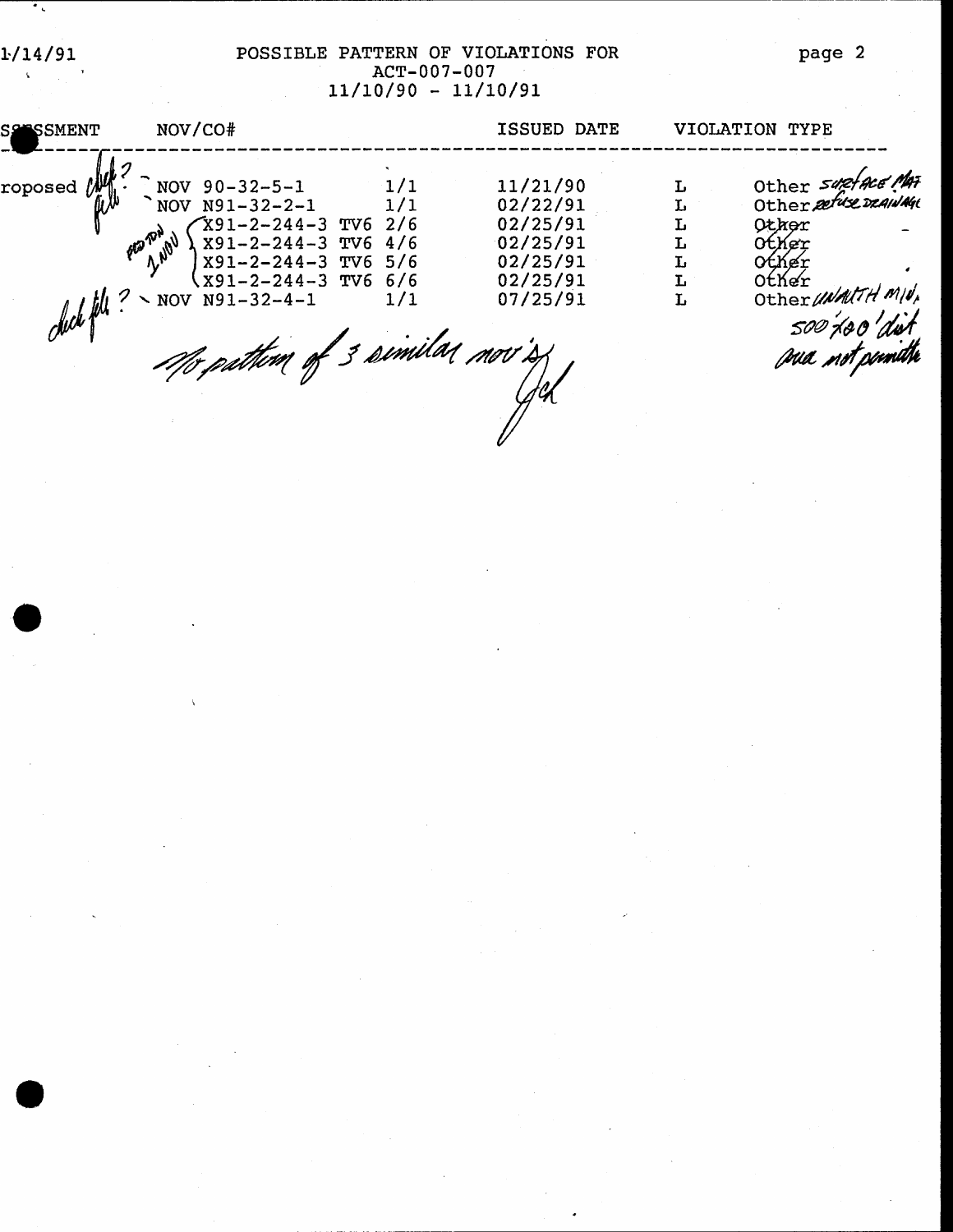$1/14/91$  $\frac{1}{2}$  ,  $\frac{1}{2}$ 

 $\bar{\mathbf{X}}$ 

 $\overline{\cdot}$ 

## POSSIBLE PATTERN OF VIOLATIONS FOR<br>ACT-007-007<br>11/10/90 - 11/10/91

| <b>SSESSMENT</b> | NOV/CO#                                                                                                                                                                                                                    |                             | ISSUED DATE                                                                      |                            | VIOLATION TYPE                                                                                                                                       |
|------------------|----------------------------------------------------------------------------------------------------------------------------------------------------------------------------------------------------------------------------|-----------------------------|----------------------------------------------------------------------------------|----------------------------|------------------------------------------------------------------------------------------------------------------------------------------------------|
| roposed          | NOV $90 - 32 - 5 - 1$<br>NOV N91-32-2-1<br>$X91 - 2 - 244 - 3$ TV6 2/6<br>X91-2-244-3 TV6 4/6<br>X91-2-244-3 TV6 5/6<br>$x91-2-244-3$ TV6 6/6<br>$\omega$ the $\frac{1}{2}$ Nov N91-32-4-1<br>Me pathim of 3 similar nov's | $\frac{1}{1}$<br>1/1<br>1/1 | 11/21/90<br>02/22/91<br>02/25/91<br>02/25/91<br>02/25/91<br>02/25/91<br>07/25/91 | L<br>L<br>L<br>L<br>L<br>L | Other suptace Mai<br>Other petuse DRAINAGE<br>Other<br><b>Other</b><br><b>Other</b><br>Other<br>Other UNALTH MIN<br>500'400'dist<br>pua .nvt.peindth |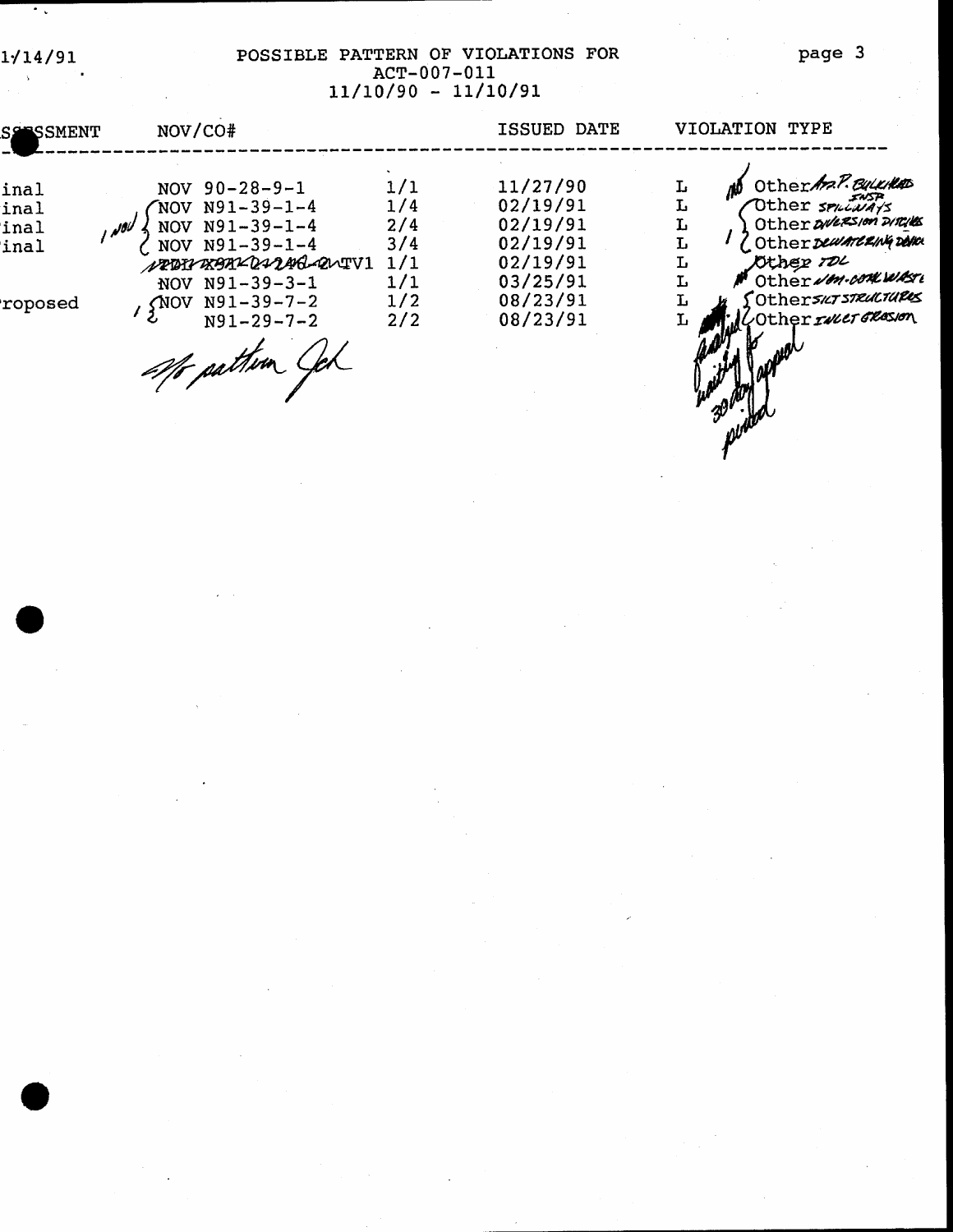$\chi$ 

 $\sim$   $\sim$ 

### POSSIBLE PATTERN OF VIOLATIONS FOR  $\text{ACT}-007-011$ <br>11/10/90 - 11/10/91

| <b>SS SSMENT</b>             | NOV/CO#                                                                                                                                                      |                                               | ISSUED DATE                                                                      | VIOLATION TYPE                                                                                                                                           |
|------------------------------|--------------------------------------------------------------------------------------------------------------------------------------------------------------|-----------------------------------------------|----------------------------------------------------------------------------------|----------------------------------------------------------------------------------------------------------------------------------------------------------|
| inal<br>inal<br>inal<br>inal | NOV $90 - 28 - 9 - 1$<br>$NOV N91-39-1-4$<br>NOV N91-39-1-4<br>NOV N91-39-1-4<br>NRBINXBAXDIDAG QUIVI<br>NOV N91-39-3-1<br>$N91 - 39 - 7 - 2$<br><b>CNOV</b> | 1/1<br>1/4<br>2/4<br>3/4<br>1/1<br>1/1<br>1/2 | 11/27/90<br>02/19/91<br>02/19/91<br>02/19/91<br>02/19/91<br>03/25/91<br>08/23/91 | Other And P. Bulletter<br>Lı.<br>Other areas on DIRIES<br>L<br>Otherpearancentration<br>Other TOL<br>L<br>Other Jon-concurso<br>{Otherskrsteucrupes<br>Ŀ |
| roposed                      | $N91 - 29 - 7 - 2$<br>aft pathem                                                                                                                             | 2/2                                           | 08/23/91                                                                         | COther <i>INCT GROSIO</i> N                                                                                                                              |

page 3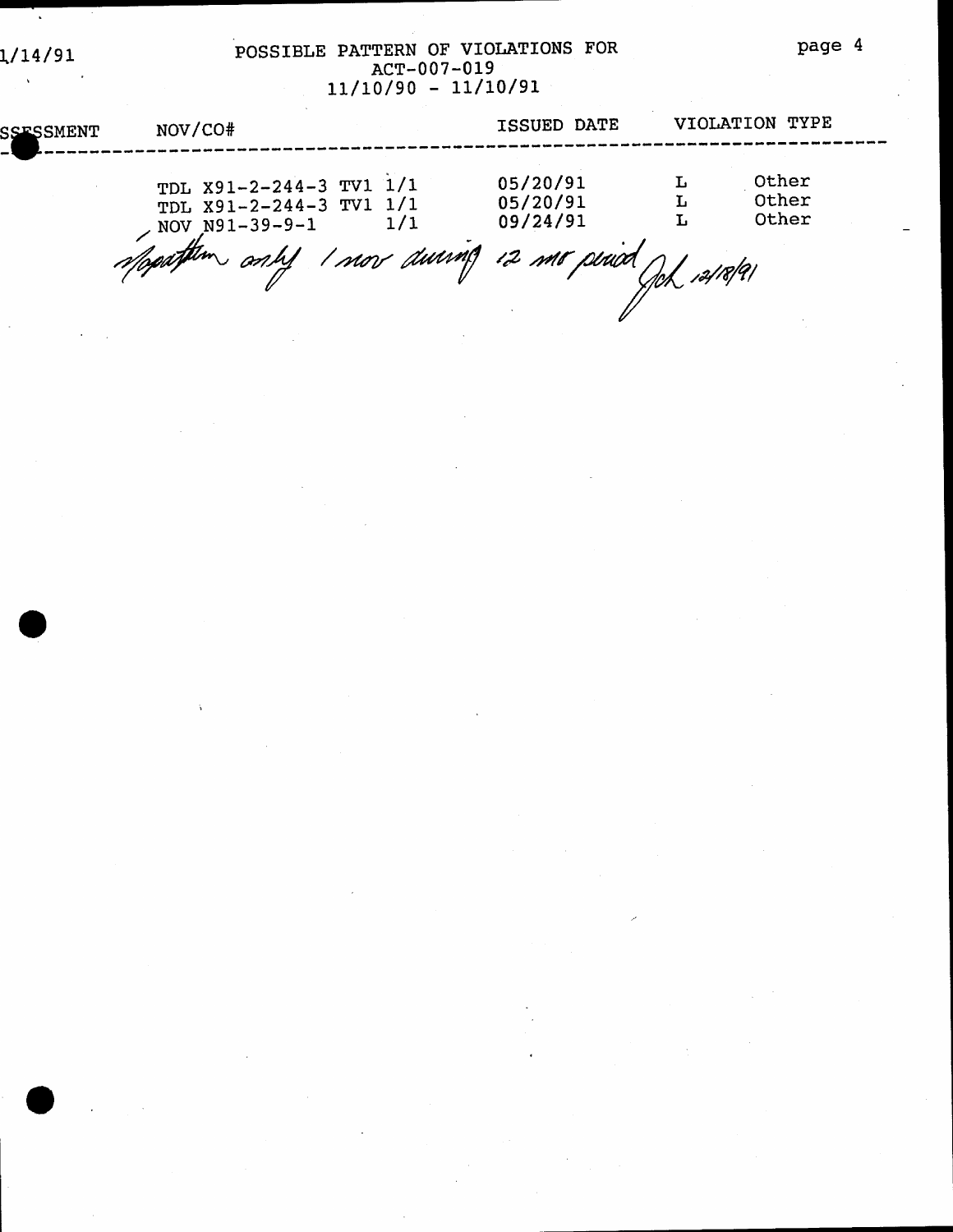# POSSIBLE PATTERN OF VIOLATIONS FOR<br>ACT-007-019<br> $11/10/90 - 11/10/91$

| <b>SSESSMENT</b> | NOV/CO#                                                              |     | ISSUED DATE                      | VIOLATION TYPE          |  |
|------------------|----------------------------------------------------------------------|-----|----------------------------------|-------------------------|--|
|                  | TDL X91-2-244-3 TV1 1/1<br>TDL X91-2-244-3 TV1 1/1<br>NOV N91-39-9-1 | 1/1 | 05/20/91<br>05/20/91<br>09/24/91 | Other<br>Other<br>Other |  |
|                  | Speathern and I now during is me period                              |     |                                  |                         |  |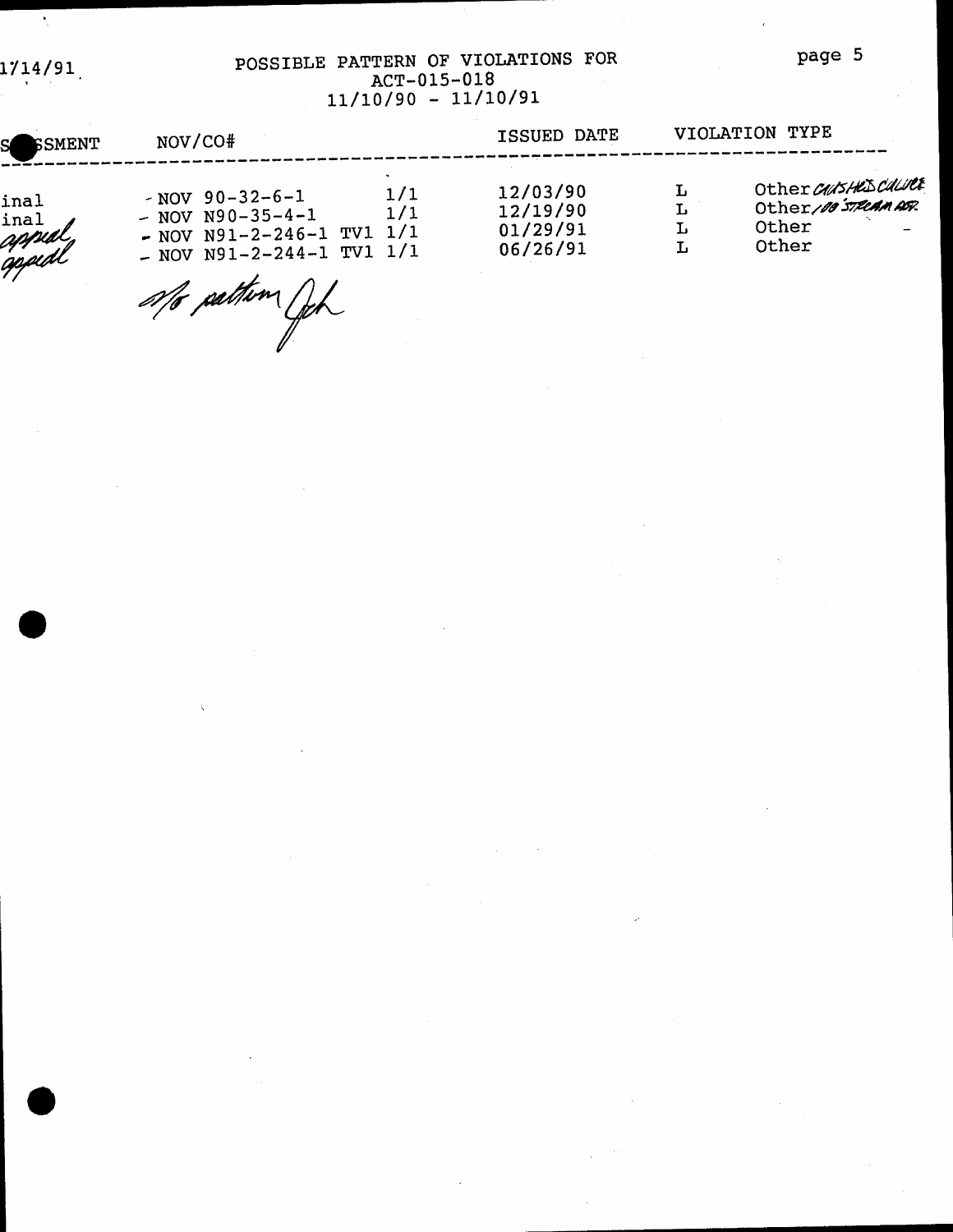1714/91

 $\bullet$ 

#### POSSIBLE PATTERN OF VIOLATIONS FOR ACT-015-018  $11/10/90 - 11/10/91$

| S SSMENT                         | NOV/CO#                                                                                                                                   | ISSUED DATE                                  |             | VIOLATION TYPE                                               |
|----------------------------------|-------------------------------------------------------------------------------------------------------------------------------------------|----------------------------------------------|-------------|--------------------------------------------------------------|
| inal<br>inal<br>appidl<br>appidl | 1/1<br>$-$ NOV 90-32-6-1<br>1/1<br>$-$ NOV N90-35-4-1<br>1/1<br>$-$ NOV N91-2-246-1 TV1<br>$-$ NOV N91-2-244-1 TV1 1/1<br>afo pattin fich | 12/03/90<br>12/19/90<br>01/29/91<br>06/26/91 | L<br>Ŀ<br>L | Other CAUSHES COLURE<br>Other/00 STRCAMASR<br>Other<br>Other |

page 5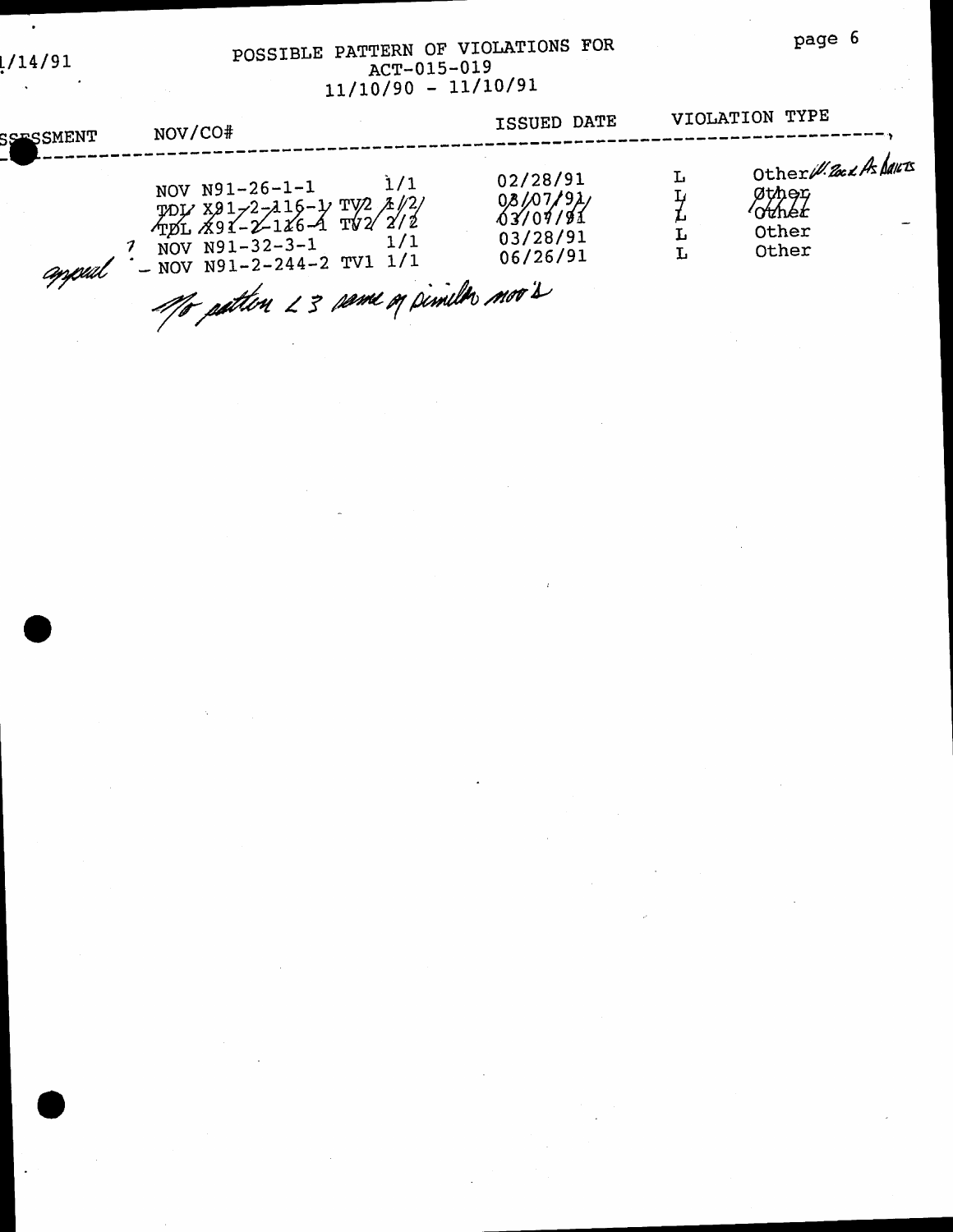#### POSSIBLE PATTERN OF VIOLATIONS FOR ACT-015-019  $11/10/90 - 11/10/91$

| <b>SSESSMENT</b> |                                                                                                                                                                             |                                                          |        |                                                            |
|------------------|-----------------------------------------------------------------------------------------------------------------------------------------------------------------------------|----------------------------------------------------------|--------|------------------------------------------------------------|
| appul            | 1/1<br>NOV N91-26-1-1<br>TOL X91-2-116-1 TV2 1/2/<br>TOL X91-2-116-4 TV2 2/2<br>1/1<br>NOV $N91-32-3-1$<br>$-$ NOV N91-2-244-2 TV1 1/1<br>Mo patten 23 same og pimila mov's | 02/28/91<br>08/07/91<br>03/07/91<br>03/28/91<br>06/26/91 | L<br>L | Other W. 2002 As Dans<br>Øther<br>∕okhét<br>Other<br>Other |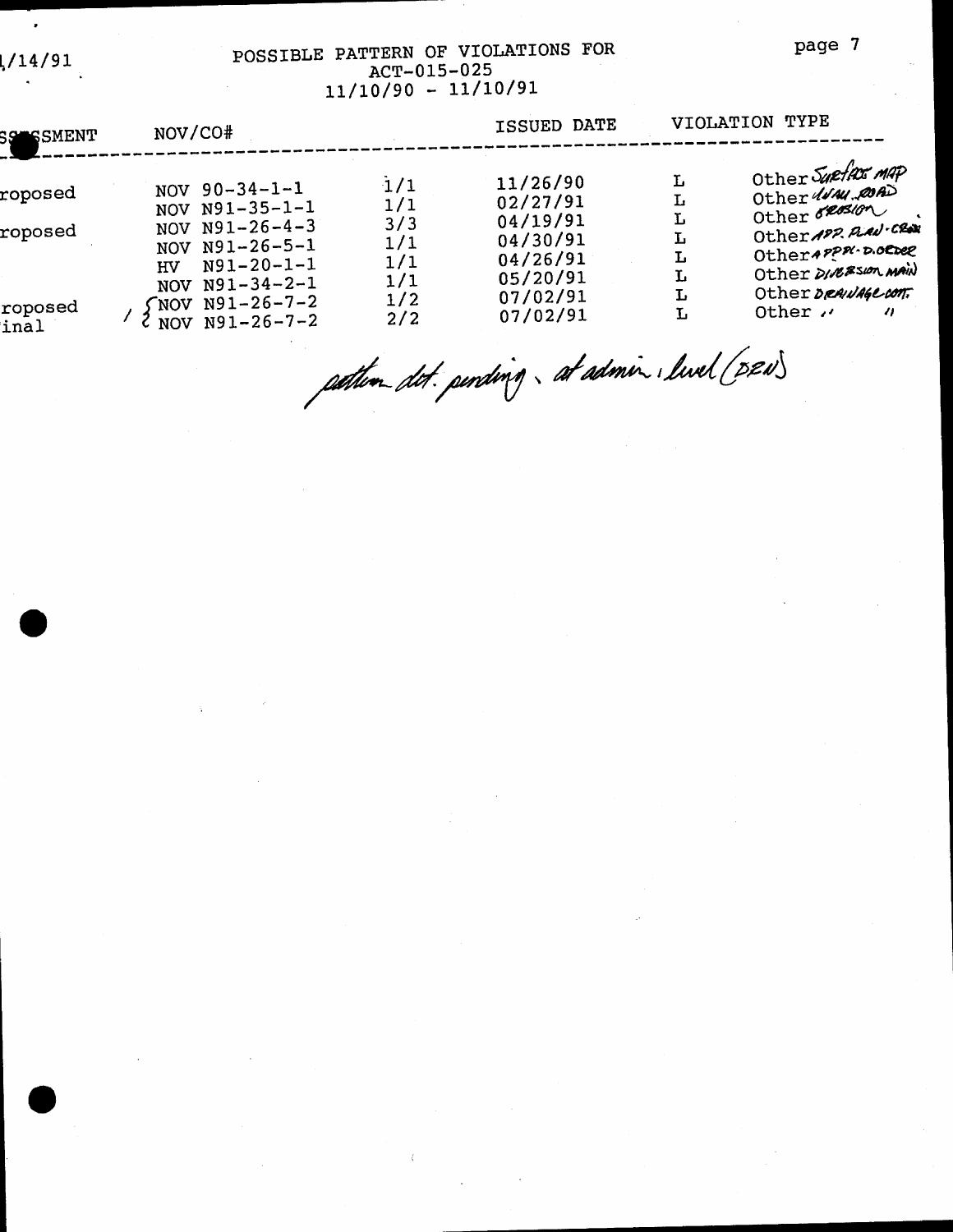#### POSSIBLE PATTERN OF VIOLATIONS FOR ACT-015-025 11/10/90 - 11/10/91

| SS SSMENT                     | NOV/CO#                                                                                                                                     |                                                                | ISSUED DATE                                                                                  | VIOLATION TYPE                       |                                                                                                                                                                                 |  |
|-------------------------------|---------------------------------------------------------------------------------------------------------------------------------------------|----------------------------------------------------------------|----------------------------------------------------------------------------------------------|--------------------------------------|---------------------------------------------------------------------------------------------------------------------------------------------------------------------------------|--|
| roposed<br>roposed<br>roposed | NOV $90-34-1-1$<br>NOV N91-35-1-1<br>NOV $N91-26-4-3$<br>NOV N91-26-5-1<br>$N91 - 20 - 1 - 1$<br>HV<br>NOV $N91-34-2-1$<br>$NOV N91-26-7-2$ | $\frac{1}{1}$<br>1/1<br>3/3<br>1/1<br>1/1<br>1/1<br>1/2<br>2/2 | 11/26/90<br>02/27/91<br>04/19/91<br>04/30/91<br>04/26/91<br>05/20/91<br>07/02/91<br>07/02/91 | Ŀ<br>Ŀ<br>L<br>L<br>Ŀ<br>L<br>Ŀ<br>L | Other Suefax MAP<br>Other WAN, COAD<br>Other order<br>Other 192 Prad-Clar<br>Otherappa.D.ORDER<br>Other DIRESION MAIN<br>Other DRAINAGE CONT.<br>Other "<br>$\boldsymbol{\eta}$ |  |
| inal                          | NOV $N91-26-7-2$                                                                                                                            |                                                                |                                                                                              |                                      |                                                                                                                                                                                 |  |

pather det. pending. at admin. livel (DRN)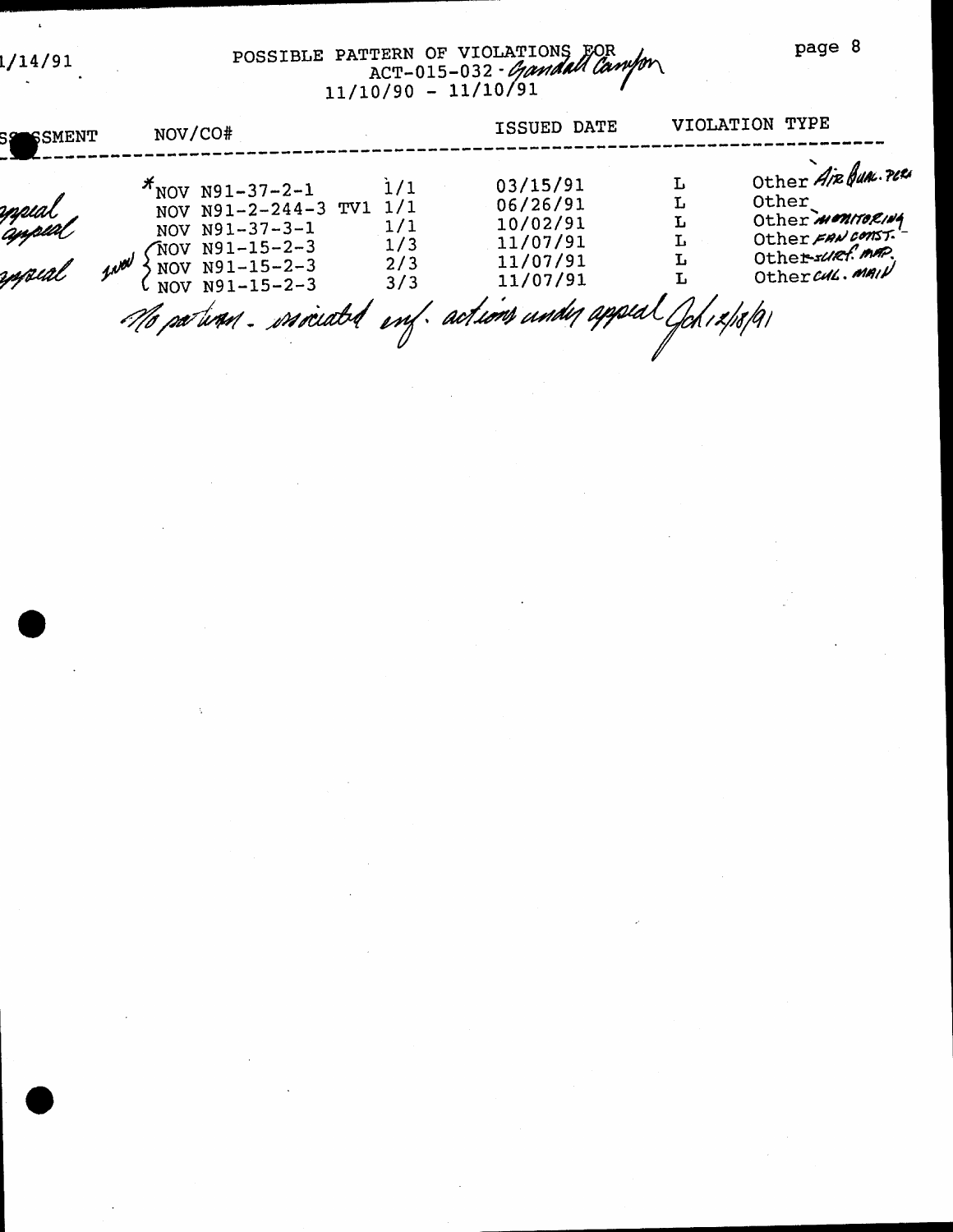page 8

1/14/91

 $\bar{\mathbf{r}}$ 

# POSSIBLE PATTERN OF VIOLATIONS FOR<br>ACT-015-032 - Gandall Campon

| <b>SSO SSMENT</b>          | NOV/CO#                                                                                                                                                                                       |                                        | ISSUED DATE                                                          |                       | VIOLATION TYPE                                                                                                   |
|----------------------------|-----------------------------------------------------------------------------------------------------------------------------------------------------------------------------------------------|----------------------------------------|----------------------------------------------------------------------|-----------------------|------------------------------------------------------------------------------------------------------------------|
| oppial<br>appial<br>yspeal | $\pi$ NOV N91-37-2-1<br>NOV N91-2-244-3 TV1<br>NOV N91-37-3-1<br>$NOV N91-15-2-3$<br>wal<br>NOV N91-15-2-3<br>NOV N91-15-2-3<br>Me patinen. essociable enf. actions under appeal Gob 12/18/91 | 1/1<br>1/1<br>1/1<br>1/3<br>2/3<br>3/3 | 03/15/91<br>06/26/91<br>10/02/91<br>11/07/91<br>11/07/91<br>11/07/91 | Ŀ<br>г<br>L<br>Ŀ<br>Ŀ | Other Air Bun. PLES<br>Other<br>Other <i>MONITORINA</i><br>Other FAN CONST.<br>Other-surf.mm.<br>Othercull. MAIN |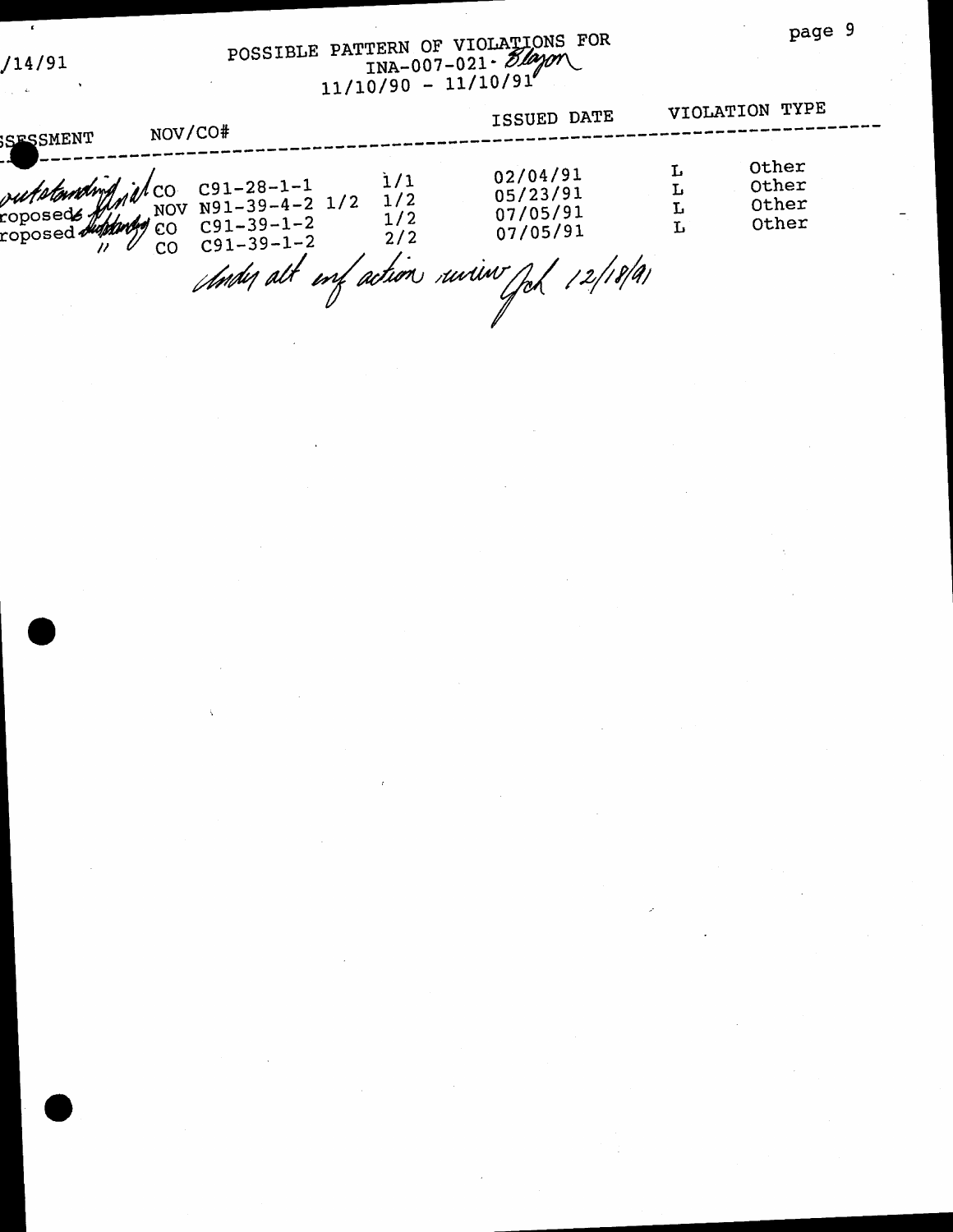$14/91$ 

 $\mathcal{L}$ 

# POSSIBLE PATTERN OF VIOLATIONS FOR<br>
INA-007-021 - 24000

| SFSSMENT | NOV/CO#                                                                                                                 |                          | ISSUED DATE                                                                            |        | VIOLATION TYPE                   |  |
|----------|-------------------------------------------------------------------------------------------------------------------------|--------------------------|----------------------------------------------------------------------------------------|--------|----------------------------------|--|
|          | putplanding il co C91-28-1-1<br>coposed didney NOV N91-39-4-2 1/2<br>roposed didney CO C91-39-1-2<br>$C91 - 39 - 1 - 2$ | 1/1<br>1/2<br>1/2<br>2/2 | 02/04/91<br>05/23/91<br>07/05/91<br>07/05/91<br>Andy alt my action univer fol 12/18/91 | L<br>L | Other<br>Other<br>Other<br>Other |  |
|          |                                                                                                                         |                          |                                                                                        |        |                                  |  |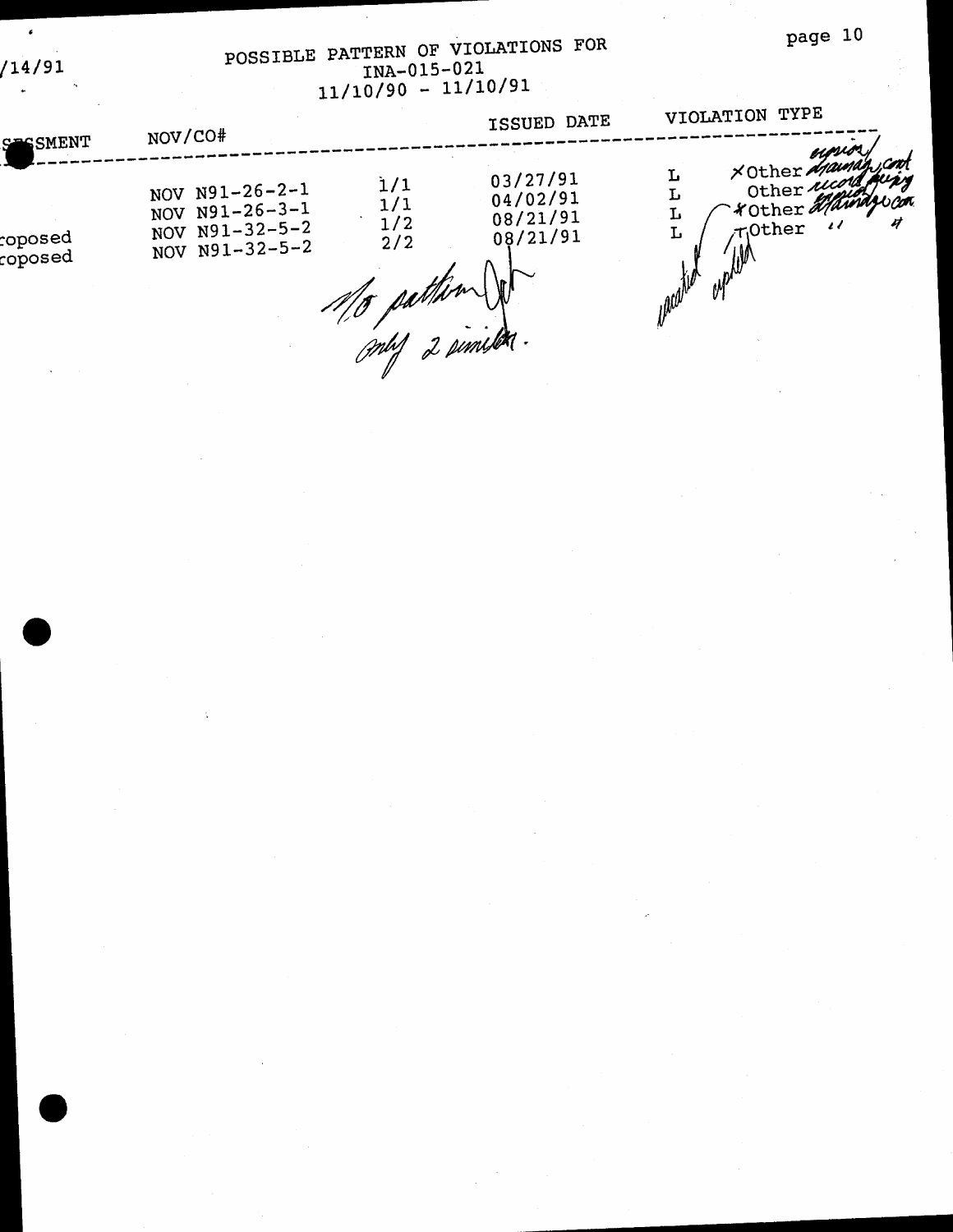### page 10

POSSIBLE PATTERN OF VIOLATIONS FOR<br>  $\frac{10A-015-021}{11/10/90}$  - 11/10/91

 $\epsilon$ 

 $/14/91$ 

|                                               | NOV/CO#                                                                    |                          | ISSUED DATE                                  | VIOLATION TYPE                                                                                                                |
|-----------------------------------------------|----------------------------------------------------------------------------|--------------------------|----------------------------------------------|-------------------------------------------------------------------------------------------------------------------------------|
| SESSMENT<br>${\ttroposed}$<br>${\tt toposed}$ | NOV $N91-26-2-1$<br>NOV N91-26-3-1<br>NOV $N91-32-5-2$<br>NOV $N91-32-5-2$ | 1/1<br>1/1<br>1/2<br>2/2 | 03/27/91<br>04/02/91<br>08/21/91<br>08/21/91 | upum.<br>XOther Mauna<br>Other records,<br>- rother Maindrica<br>u<br>$\overline{\mathcal{U}}$<br>TOther<br>L<br><b>Malil</b> |